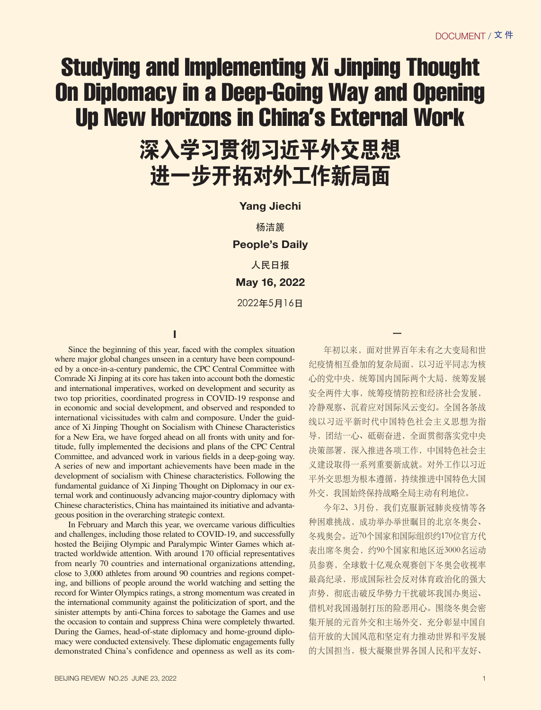## Studying and Implementing Xi Jinping Thought On Diplomacy in a Deep-Going Way and Opening Up New Horizons in China's External Work

## 深入学习贯彻习近平外交思想 进一步开拓对外工作新局面

## **Yang Jiechi**

杨洁篪 **People's Daily** 人民日报 **May 16, 2022** 2022年5月16日

**I**

Since the beginning of this year, faced with the complex situation where major global changes unseen in a century have been compounded by a once-in-a-century pandemic, the CPC Central Committee with Comrade Xi Jinping at its core has taken into account both the domestic and international imperatives, worked on development and security as two top priorities, coordinated progress in COVID-19 response and in economic and social development, and observed and responded to international vicissitudes with calm and composure. Under the guidance of Xi Jinping Thought on Socialism with Chinese Characteristics for a New Era, we have forged ahead on all fronts with unity and fortitude, fully implemented the decisions and plans of the CPC Central Committee, and advanced work in various fields in a deep-going way. A series of new and important achievements have been made in the development of socialism with Chinese characteristics. Following the fundamental guidance of Xi Jinping Thought on Diplomacy in our external work and continuously advancing major-country diplomacy with Chinese characteristics, China has maintained its initiative and advantageous position in the overarching strategic context.

In February and March this year, we overcame various difficulties and challenges, including those related to COVID-19, and successfully hosted the Beijing Olympic and Paralympic Winter Games which attracted worldwide attention. With around 170 official representatives from nearly 70 countries and international organizations attending, close to 3,000 athletes from around 90 countries and regions competing, and billions of people around the world watching and setting the record for Winter Olympics ratings, a strong momentum was created in the international community against the politicization of sport, and the sinister attempts by anti-China forces to sabotage the Games and use the occasion to contain and suppress China were completely thwarted. During the Games, head-of-state diplomacy and home-ground diplomacy were conducted extensively. These diplomatic engagements fully demonstrated China's confidence and openness as well as its com-

年初以来,面对世界百年未有之大变局和世 纪疫情相互叠加的复杂局面,以习近平同志为核 心的党中央,统筹国内国际两个大局,统筹发展 安全两件大事,统筹疫情防控和经济社会发展, 冷静观察、沉着应对国际风云变幻。全国各条战 线以习近平新时代中国特色社会主义思想为指 导,团结一心、砥砺奋进,全面贯彻落实党中央 决策部署,深入推进各项工作,中国特色社会主 义建设取得一系列重要新成就。对外工作以习近 平外交思想为根本遵循,持续推进中国特色大国 外交,我国始终保持战略全局主动有利地位。

 $\overline{a}$ 

今年2、3月份,我们克服新冠肺炎疫情等各 种困难挑战,成功举办举世瞩目的北京冬奥会、 冬残奥会。近70个国家和国际组织约170位官方代 表出席冬奥会,约90个国家和地区近3000名运动 员参赛,全球数十亿观众观赛创下冬奥会收视率 最高纪录,形成国际社会反对体育政治化的强大 声势, 彻底击破反华势力干扰破坏我国办奥运、 借机对我国遏制打压的险恶用心。围绕冬奥会密 集开展的元首外交和主场外交,充分彰显中国自 信开放的大国风范和坚定有力推动世界和平发展 的大国担当,极大凝聚世界各国人民和平友好、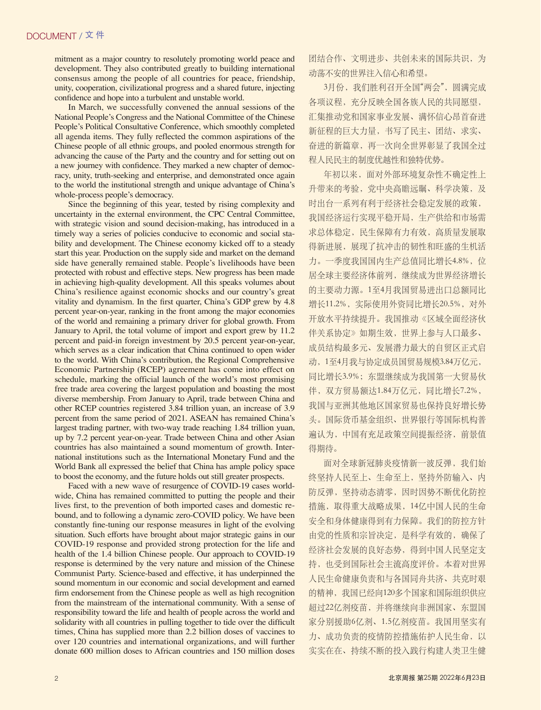mitment as a major country to resolutely promoting world peace and development. They also contributed greatly to building international consensus among the people of all countries for peace, friendship, unity, cooperation, civilizational progress and a shared future, injecting confidence and hope into a turbulent and unstable world.

In March, we successfully convened the annual sessions of the National People's Congress and the National Committee of the Chinese People's Political Consultative Conference, which smoothly completed all agenda items. They fully reflected the common aspirations of the Chinese people of all ethnic groups, and pooled enormous strength for advancing the cause of the Party and the country and for setting out on a new journey with confidence. They marked a new chapter of democracy, unity, truth-seeking and enterprise, and demonstrated once again to the world the institutional strength and unique advantage of China's whole-process people's democracy.

Since the beginning of this year, tested by rising complexity and uncertainty in the external environment, the CPC Central Committee, with strategic vision and sound decision-making, has introduced in a timely way a series of policies conducive to economic and social stability and development. The Chinese economy kicked off to a steady start this year. Production on the supply side and market on the demand side have generally remained stable. People's livelihoods have been protected with robust and effective steps. New progress has been made in achieving high-quality development. All this speaks volumes about China's resilience against economic shocks and our country's great vitality and dynamism. In the first quarter, China's GDP grew by 4.8 percent year-on-year, ranking in the front among the major economies of the world and remaining a primary driver for global growth. From January to April, the total volume of import and export grew by 11.2 percent and paid-in foreign investment by 20.5 percent year-on-year, which serves as a clear indication that China continued to open wider to the world. With China's contribution, the Regional Comprehensive Economic Partnership (RCEP) agreement has come into effect on schedule, marking the official launch of the world's most promising free trade area covering the largest population and boasting the most diverse membership. From January to April, trade between China and other RCEP countries registered 3.84 trillion yuan, an increase of 3.9 percent from the same period of 2021. ASEAN has remained China's largest trading partner, with two-way trade reaching 1.84 trillion yuan, up by 7.2 percent year-on-year. Trade between China and other Asian countries has also maintained a sound momentum of growth. International institutions such as the International Monetary Fund and the World Bank all expressed the belief that China has ample policy space to boost the economy, and the future holds out still greater prospects.

Faced with a new wave of resurgence of COVID-19 cases worldwide, China has remained committed to putting the people and their lives first, to the prevention of both imported cases and domestic rebound, and to following a dynamic zero-COVID policy. We have been constantly fine-tuning our response measures in light of the evolving situation. Such efforts have brought about major strategic gains in our COVID-19 response and provided strong protection for the life and health of the 1.4 billion Chinese people. Our approach to COVID-19 response is determined by the very nature and mission of the Chinese Communist Party. Science-based and effective, it has underpinned the sound momentum in our economic and social development and earned firm endorsement from the Chinese people as well as high recognition from the mainstream of the international community. With a sense of responsibility toward the life and health of people across the world and solidarity with all countries in pulling together to tide over the difficult times, China has supplied more than 2.2 billion doses of vaccines to over 120 countries and international organizations, and will further donate 600 million doses to African countries and 150 million doses

团结合作、文明进步、共创未来的国际共识,为 动荡不安的世界注入信心和希望。

3月份,我们胜利召开全国"两会",圆满完成 各项议程,充分反映全国各族人民的共同愿望, 汇集推动党和国家事业发展、满怀信心昂首奋进 新征程的巨大力量,书写了民主、团结、求实、 奋进的新篇章,再一次向全世界彰显了我国全过 程人民民主的制度优越性和独特优势。

年初以来,面对外部环境复杂性不确定性上 升带来的考验,党中央高瞻远瞩、科学决策,及 时出台一系列有利于经济社会稳定发展的政策, 我国经济运行实现平稳开局,生产供给和市场需 求总体稳定,民生保障有力有效,高质量发展取 得新进展,展现了抗冲击的韧性和旺盛的生机活 力。一季度我国国内生产总值同比增长4.8%,位 居全球主要经济体前列,继续成为世界经济增长 的主要动力源。1至4月我国贸易进出口总额同比 增长11.2%,实际使用外资同比增长20.5%,对外 开放水平持续提升。我国推动《区域全面经济伙 伴关系协定》如期生效,世界上参与人口最多、 成员结构最多元、发展潜力最大的自贸区正式启 动,1至4月我与协定成员国贸易规模3.84万亿元, 同比增长3.9%;东盟继续成为我国第一大贸易伙 伴,双方贸易额达1.84万亿元,同比增长7.2%, 我国与亚洲其他地区国家贸易也保持良好增长势 头。国际货币基金组织、世界银行等国际机构普 遍认为,中国有充足政策空间提振经济,前景值 得期待。

面对全球新冠肺炎疫情新一波反弹,我们始 终坚持人民至上、生命至上,坚持外防输入、内 防反弹,坚持动态清零,因时因势不断优化防控 措施,取得重大战略成果,14亿中国人民的生命 安全和身体健康得到有力保障。我们的防控方针 由党的性质和宗旨决定,是科学有效的,确保了 经济社会发展的良好态势,得到中国人民坚定支 持,也受到国际社会主流高度评价。本着对世界 人民生命健康负责和与各国同舟共济、共克时艰 的精神,我国已经向120多个国家和国际组织供应 超过22亿剂疫苗,并将继续向非洲国家、东盟国 家分别援助6亿剂、1.5亿剂疫苗。我国用坚实有 力、成功负责的疫情防控措施佑护人民生命,以 实实在在、持续不断的投入践行构建人类卫生健